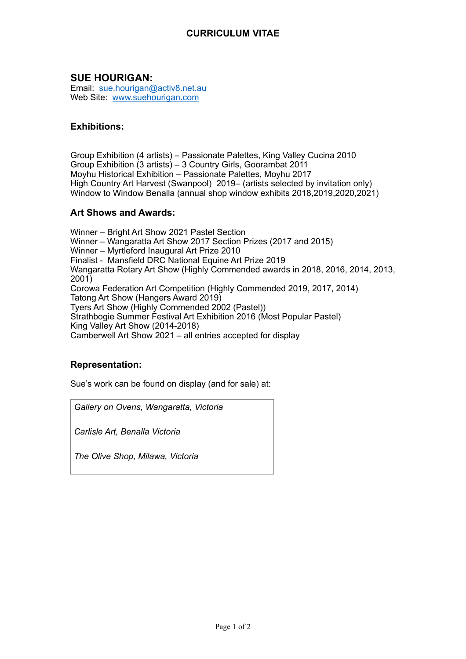## **CURRICULUM VITAE**

# **SUE HOURIGAN:**

Email: [sue.hourigan@activ8.net.au](mailto:sue.hourigan@activ8.net.au) Web Site: [www.suehourigan.com](http://www.suehourigan.com)

#### **Exhibitions:**

Group Exhibition (4 artists) – Passionate Palettes, King Valley Cucina 2010 Group Exhibition (3 artists) – 3 Country Girls, Goorambat 2011 Moyhu Historical Exhibition – Passionate Palettes, Moyhu 2017 High Country Art Harvest (Swanpool) 2019– (artists selected by invitation only) Window to Window Benalla (annual shop window exhibits 2018,2019,2020,2021)

### **Art Shows and Awards:**

Winner – Bright Art Show 2021 Pastel Section Winner – Wangaratta Art Show 2017 Section Prizes (2017 and 2015) Winner – Myrtleford Inaugural Art Prize 2010 Finalist - Mansfield DRC National Equine Art Prize 2019 Wangaratta Rotary Art Show (Highly Commended awards in 2018, 2016, 2014, 2013, 2001) Corowa Federation Art Competition (Highly Commended 2019, 2017, 2014) Tatong Art Show (Hangers Award 2019) Tyers Art Show (Highly Commended 2002 (Pastel)) Strathbogie Summer Festival Art Exhibition 2016 (Most Popular Pastel) King Valley Art Show (2014-2018) Camberwell Art Show 2021 – all entries accepted for display

## **Representation:**

Sue's work can be found on display (and for sale) at:

*Gallery on Ovens, Wangaratta, Victoria*

*Carlisle Art, Benalla Victoria*

*The Olive Shop, Milawa, Victoria*